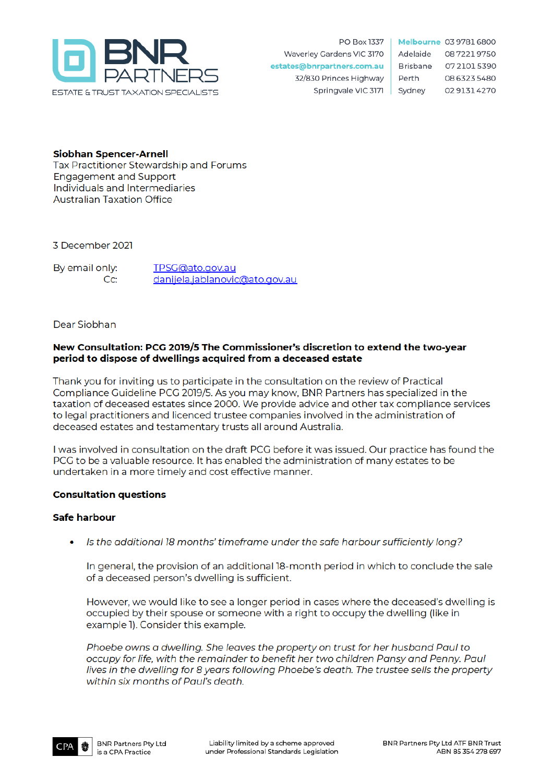

PO Box 1337 Waverley Gardens VIC 3170 estates@bnrpartners.com.au 32/830 Princes Highway Springvale VIC 3171

Melbourne 03 9781 6800 Adelaide 0872219750 Brisbane 0721015390 Perth 08 6323 5480 Sydney 0291314270

**Siobhan Spencer-Arnell** Tax Practitioner Stewardship and Forums **Engagement and Support** Individuals and Intermediaries **Australian Taxation Office** 

3 December 2021

By email only: TPSG@ato.gov.au  $Cc$ : danijela.jablanovic@ato.gov.au

Dear Siobhan

## New Consultation: PCG 2019/5 The Commissioner's discretion to extend the two-year period to dispose of dwellings acquired from a deceased estate

Thank you for inviting us to participate in the consultation on the review of Practical Compliance Guideline PCG 2019/5. As you may know, BNR Partners has specialized in the taxation of deceased estates since 2000. We provide advice and other tax compliance services to legal practitioners and licenced trustee companies involved in the administration of deceased estates and testamentary trusts all around Australia.

I was involved in consultation on the draft PCG before it was issued. Our practice has found the PCG to be a valuable resource. It has enabled the administration of many estates to be undertaken in a more timely and cost effective manner.

# **Consultation questions**

# **Safe harbour**

Is the additional 18 months' timeframe under the safe harbour sufficiently long?

In general, the provision of an additional 18-month period in which to conclude the sale of a deceased person's dwelling is sufficient.

However, we would like to see a longer period in cases where the deceased's dwelling is occupied by their spouse or someone with a right to occupy the dwelling (like in example 1). Consider this example.

Phoebe owns a dwelling. She leaves the property on trust for her husband Paul to occupy for life, with the remainder to benefit her two children Pansy and Penny. Paul lives in the dwelling for 8 years following Phoebe's death. The trustee sells the property within six months of Paul's death.

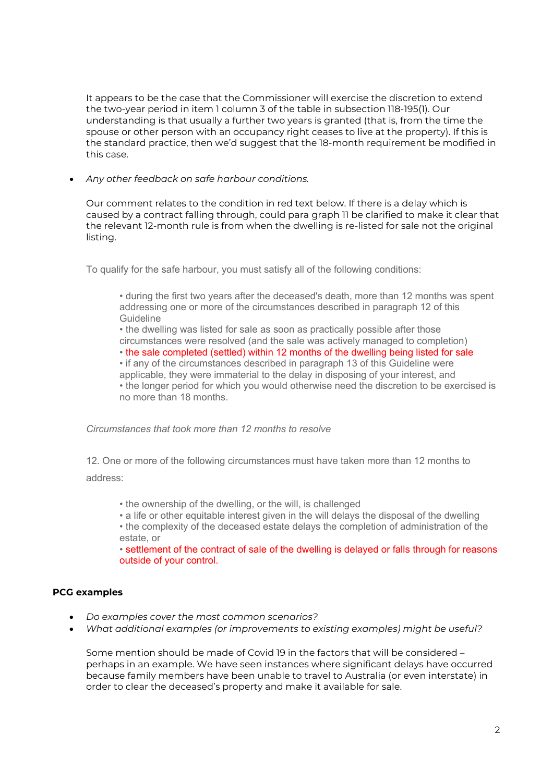It appears to be the case that the Commissioner will exercise the discretion to extend the two-year period in item 1 column 3 of the table in subsection 118-195(1). Our understanding is that usually a further two years is granted (that is, from the time the spouse or other person with an occupancy right ceases to live at the property). If this is the standard practice, then we'd suggest that the 18-month requirement be modified in this case.

• *Any other feedback on safe harbour conditions.*

Our comment relates to the condition in red text below. If there is a delay which is caused by a contract falling through, could para graph 11 be clarified to make it clear that the relevant 12-month rule is from when the dwelling is re-listed for sale not the original listing.

To qualify for the safe harbour, you must satisfy all of the following conditions:

• during the first two years after the deceased's death, more than 12 months was spent addressing one or more of the circumstances described in paragraph 12 of this Guideline

• the dwelling was listed for sale as soon as practically possible after those circumstances were resolved (and the sale was actively managed to completion)

• the sale completed (settled) within 12 months of the dwelling being listed for sale

• if any of the circumstances described in paragraph 13 of this Guideline were

applicable, they were immaterial to the delay in disposing of your interest, and

• the longer period for which you would otherwise need the discretion to be exercised is no more than 18 months.

*Circumstances that took more than 12 months to resolve*

12. One or more of the following circumstances must have taken more than 12 months to address:

• the ownership of the dwelling, or the will, is challenged

• a life or other equitable interest given in the will delays the disposal of the dwelling

• the complexity of the deceased estate delays the completion of administration of the estate, or

• settlement of the contract of sale of the dwelling is delayed or falls through for reasons outside of your control.

# **PCG examples**

- *Do examples cover the most common scenarios?*
- *What additional examples (or improvements to existing examples) might be useful?*

Some mention should be made of Covid 19 in the factors that will be considered – perhaps in an example. We have seen instances where significant delays have occurred because family members have been unable to travel to Australia (or even interstate) in order to clear the deceased's property and make it available for sale.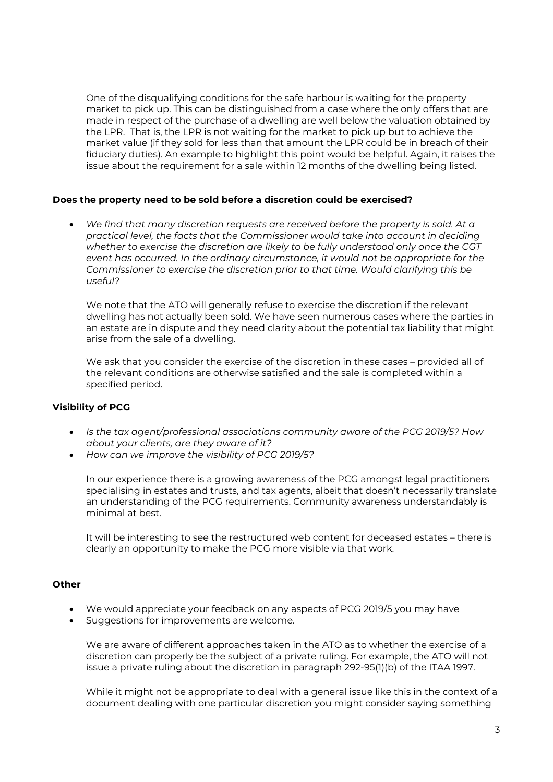One of the disqualifying conditions for the safe harbour is waiting for the property market to pick up. This can be distinguished from a case where the only offers that are made in respect of the purchase of a dwelling are well below the valuation obtained by the LPR. That is, the LPR is not waiting for the market to pick up but to achieve the market value (if they sold for less than that amount the LPR could be in breach of their fiduciary duties). An example to highlight this point would be helpful. Again, it raises the issue about the requirement for a sale within 12 months of the dwelling being listed.

### **Does the property need to be sold before a discretion could be exercised?**

• *We find that many discretion requests are received before the property is sold. At a practical level, the facts that the Commissioner would take into account in deciding whether to exercise the discretion are likely to be fully understood only once the CGT event has occurred. In the ordinary circumstance, it would not be appropriate for the Commissioner to exercise the discretion prior to that time. Would clarifying this be useful?* 

We note that the ATO will generally refuse to exercise the discretion if the relevant dwelling has not actually been sold. We have seen numerous cases where the parties in an estate are in dispute and they need clarity about the potential tax liability that might arise from the sale of a dwelling.

We ask that you consider the exercise of the discretion in these cases – provided all of the relevant conditions are otherwise satisfied and the sale is completed within a specified period.

### **Visibility of PCG**

- *Is the tax agent/professional associations community aware of the PCG 2019/5? How about your clients, are they aware of it?*
- *How can we improve the visibility of PCG 2019/5?*

In our experience there is a growing awareness of the PCG amongst legal practitioners specialising in estates and trusts, and tax agents, albeit that doesn't necessarily translate an understanding of the PCG requirements. Community awareness understandably is minimal at best.

It will be interesting to see the restructured web content for deceased estates – there is clearly an opportunity to make the PCG more visible via that work.

### **Other**

- We would appreciate your feedback on any aspects of PCG 2019/5 you may have
- Suggestions for improvements are welcome.

We are aware of different approaches taken in the ATO as to whether the exercise of a discretion can properly be the subject of a private ruling. For example, the ATO will not issue a private ruling about the discretion in paragraph 292-95(1)(b) of the ITAA 1997.

While it might not be appropriate to deal with a general issue like this in the context of a document dealing with one particular discretion you might consider saying something